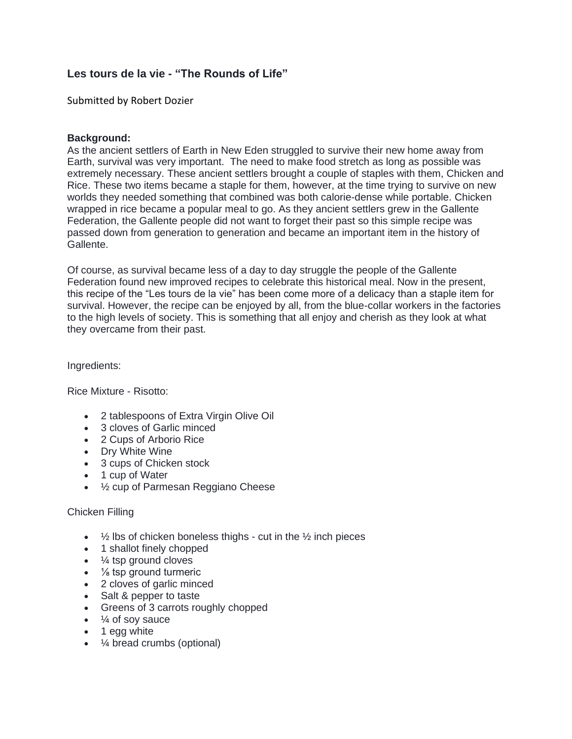# **Les tours de la vie - "The Rounds of Life"**

Submitted by Robert Dozier

### **Background:**

As the ancient settlers of Earth in New Eden struggled to survive their new home away from Earth, survival was very important. The need to make food stretch as long as possible was extremely necessary. These ancient settlers brought a couple of staples with them, Chicken and Rice. These two items became a staple for them, however, at the time trying to survive on new worlds they needed something that combined was both calorie-dense while portable. Chicken wrapped in rice became a popular meal to go. As they ancient settlers grew in the Gallente Federation, the Gallente people did not want to forget their past so this simple recipe was passed down from generation to generation and became an important item in the history of Gallente.

Of course, as survival became less of a day to day struggle the people of the Gallente Federation found new improved recipes to celebrate this historical meal. Now in the present, this recipe of the "Les tours de la vie" has been come more of a delicacy than a staple item for survival. However, the recipe can be enjoyed by all, from the blue-collar workers in the factories to the high levels of society. This is something that all enjoy and cherish as they look at what they overcame from their past.

Ingredients:

Rice Mixture - Risotto:

- 2 tablespoons of Extra Virgin Olive Oil
- 3 cloves of Garlic minced
- 2 Cups of Arborio Rice
- Dry White Wine
- 3 cups of Chicken stock
- 1 cup of Water
- ½ cup of Parmesan Reggiano Cheese

#### Chicken Filling

- $\frac{1}{2}$  lbs of chicken boneless thighs cut in the  $\frac{1}{2}$  inch pieces
- 1 shallot finely chopped
- ¼ tsp ground cloves
- $\cdot$  % tsp ground turmeric
- 2 cloves of garlic minced
- Salt & pepper to taste
- Greens of 3 carrots roughly chopped
- $\bullet$   $\frac{1}{4}$  of soy sauce
- 1 egg white
- ¼ bread crumbs (optional)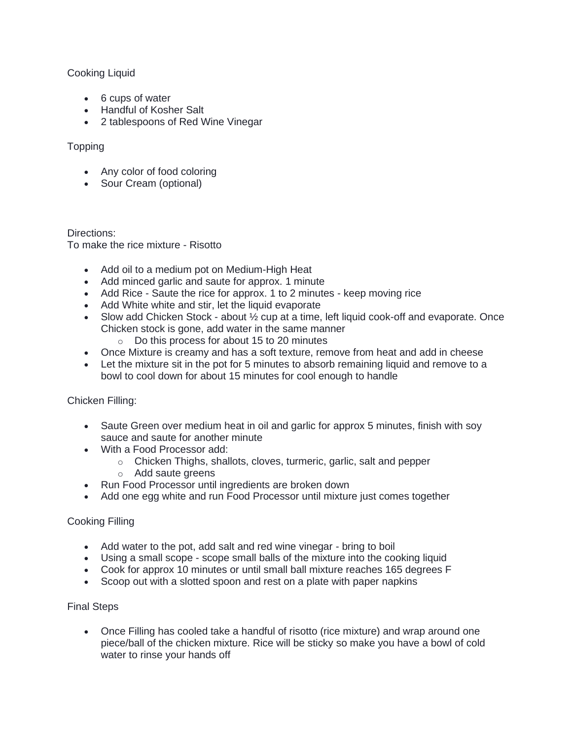# Cooking Liquid

- 6 cups of water
- Handful of Kosher Salt
- 2 tablespoons of Red Wine Vinegar

# Topping

- Any color of food coloring
- Sour Cream (optional)

Directions: To make the rice mixture - Risotto

- Add oil to a medium pot on Medium-High Heat
- Add minced garlic and saute for approx. 1 minute
- Add Rice Saute the rice for approx. 1 to 2 minutes keep moving rice
- Add White white and stir, let the liquid evaporate
- Slow add Chicken Stock about  $\frac{1}{2}$  cup at a time, left liquid cook-off and evaporate. Once Chicken stock is gone, add water in the same manner
	- o Do this process for about 15 to 20 minutes
- Once Mixture is creamy and has a soft texture, remove from heat and add in cheese
- Let the mixture sit in the pot for 5 minutes to absorb remaining liquid and remove to a bowl to cool down for about 15 minutes for cool enough to handle

Chicken Filling:

- Saute Green over medium heat in oil and garlic for approx 5 minutes, finish with soy sauce and saute for another minute
- With a Food Processor add:
	- o Chicken Thighs, shallots, cloves, turmeric, garlic, salt and pepper
	- o Add saute greens
- Run Food Processor until ingredients are broken down
- Add one egg white and run Food Processor until mixture just comes together

# Cooking Filling

- Add water to the pot, add salt and red wine vinegar bring to boil
- Using a small scope scope small balls of the mixture into the cooking liquid
- Cook for approx 10 minutes or until small ball mixture reaches 165 degrees F
- Scoop out with a slotted spoon and rest on a plate with paper napkins

# Final Steps

• Once Filling has cooled take a handful of risotto (rice mixture) and wrap around one piece/ball of the chicken mixture. Rice will be sticky so make you have a bowl of cold water to rinse your hands off